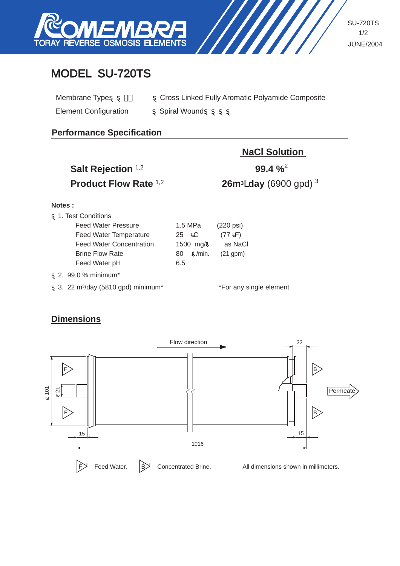

SU-720TS 1/2 JUNE/2004

# MODEL SU-720TS

| Membrane Type                | Cross Linked Fully Aromatic Polyamide Composite |
|------------------------------|-------------------------------------------------|
| <b>Element Configuration</b> | <b>Spiral Wound</b>                             |

### **Performance Specification**

| Salt Rejection 1,2                   |       |              | <b>NaCl Solution</b><br>$99.4 \%$         |
|--------------------------------------|-------|--------------|-------------------------------------------|
| <b>Product Flow Rate 1,2</b>         |       |              | <b>26m<sup>3</sup>/day (6900 gpd)</b> $3$ |
| Notes:                               |       |              |                                           |
| 1. Test Conditions                   |       |              |                                           |
| <b>Feed Water Pressure</b>           |       | 1.5 MPa      | $(220 \text{ psi})$                       |
| <b>Feed Water Temperature</b>        | 25 °C |              | $(77 \text{ }^{\circ}F)$                  |
| <b>Feed Water Concentration</b>      |       | 1500 mg/l    | as NaCl                                   |
| <b>Brine Flow Rate</b>               | 80    | $\ell$ /min. | $(21$ gpm $)$                             |
| Feed Water pH                        | 6.5   |              |                                           |
| 2. 99.0 % minimum <sup>*</sup>       |       |              |                                           |
| 3. 22 $m^3$ /day (5810 gpd) minimum* |       |              | *For any single element                   |

## **Dimensions**